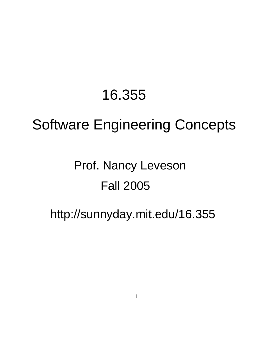# 16.355

# Software Engineering Concepts

# Prof. Nancy Leveson Fall 2005

## http://sunnyday.mit.edu/16.355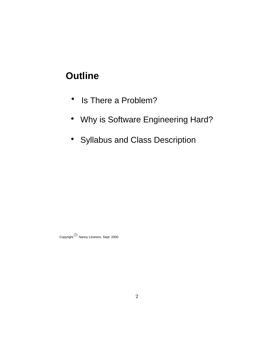## **Outline**

- Is There a Problem?  $\bullet$
- Why is Software Engineering Hard?
- Syllabus and Class Description

 $\operatorname{\mathsf{Copyright}}^{\operatorname{\mathsf{C}}\nolimits}$  Nancy Leveson, Sept. 2000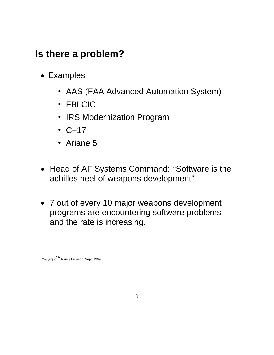## **Is there a problem?**

- Examples:
	- AAS (FAA Advanced Automation System)
	- FBI CIC
	- IRS Modernization Program
	- C−17
	- Ariane 5
- Head of AF Systems Command: ''Software is the achilles heel of weapons development"
- programs are encountering software problems and the rate is increasing. 7 out of every 10 major weapons development

Copyright  $^{(c)}$  Nancy Leveson, Sept. 1999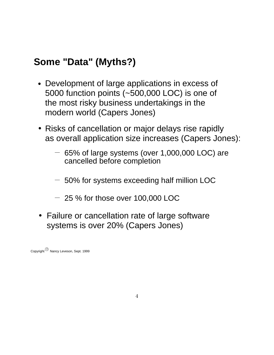## **Some "Data" (Myths?)**

- the most risky business undertakings in the modern world (Capers Jones) 5000 function points (~500,000 LOC) is one of Development of large applications in excess of
- Risks of cancellation or major delays rise rapidly as overall application size increases (Capers Jones):
	- cancelled before completion  $-$  65% of large systems (over 1,000,000 LOC) are
	- $-$  50% for systems exceeding half million LOC
	- $-25$ % for those over 100,000 LOC
- Failure or cancellation rate of large software systems is over 20% (Capers Jones)

Copyright  $^{(c)}$  Nancy Leveson, Sept. 1999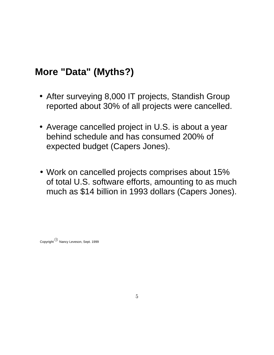## **More "Data" (Myths?)**

- After surveying 8,000 IT projects, Standish Group reported about 30% of all projects were cancelled.
- behind schedule and has consumed 200% of Average cancelled project in U.S. is about a year expected budget (Capers Jones).
- of total U.S. software efforts, amounting to as much much as \$14 billion in 1993 dollars (Capers Jones). Work on cancelled projects comprises about 15%

Copyright  $^{\copyright}$  Nancy Leveson, Sept. 1999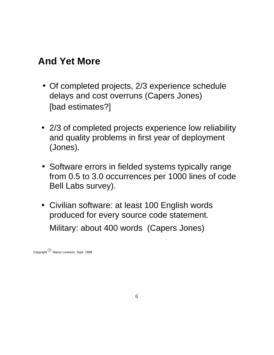## **And Yet More**

- delays and cost overruns (Capers Jones) • Of completed projects, 2/3 experience schedule [bad estimates?]
- and quality problems in first year of deployment (Jones). 2/3 of completed projects experience low reliability
- from 0.5 to 3.0 occurrences per 1000 lines of code • Software errors in fielded systems typically range Bell Labs survey).
- Civilian software: at least 100 English words produced for every source code statement. Military: about 400 words (Capers Jones)

Copyright  $^{\circ}$  Nancy Leveson, Sept. 1999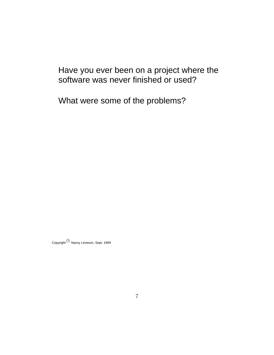Have you ever been on a project where the software was never finished or used?

What were some of the problems?

 $\mathsf{Copyright}^{(\mathbb{C})}$  Nancy Leveson, Sept. 1999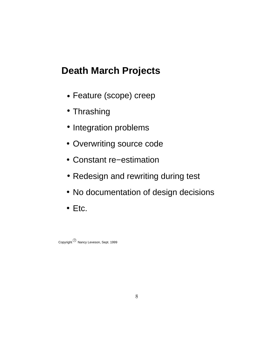## **Death March Projects**

- Feature (scope) creep
- Thrashing
- Integration problems
- Overwriting source code
- Constant re−estimation
- Redesign and rewriting during test
- No documentation of design decisions
- Etc.

Copyright  $^{\copyright}$  Nancy Leveson, Sept. 1999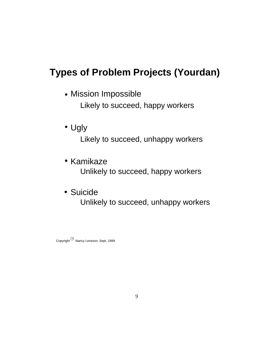## **Types of Problem Projects (Yourdan)**

- Likely to succeed, happy workers Mission Impossible
- Likely to succeed, unhappy workers • Ugly
- Unlikely to succeed, happy workers • Kamikaze
- Unlikely to succeed, unhappy workers Suicide

Copyright  $^\copyright$  Nancy Leveson, Sept. 1999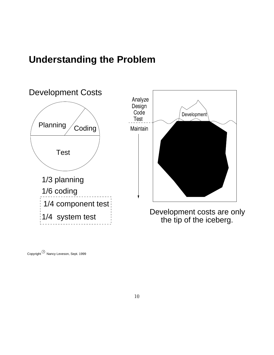#### **Understanding the Problem**



 $\operatorname{\mathsf{Copyright}}^{(\mathbb{C})}$  Nancy Leveson, Sept. 1999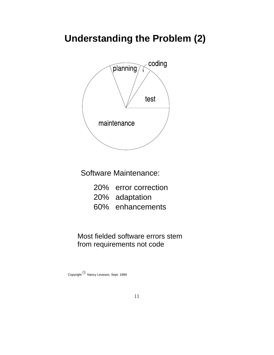## **Understanding the Problem (2)**



Software Maintenance:

- 20% error correction
- 20% adaptation
- 60% enhancements

from requirements not code Most fielded software errors stem

Copyright  $^{\copyright}$  Nancy Leveson, Sept. 1999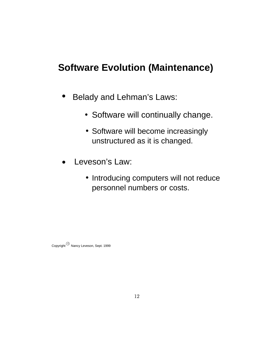## **Software Evolution (Maintenance)**

- Belady and Lehman's Laws:
	- Software will continually change.
	- Software will become increasingly unstructured as it is changed.
- Leveson's Law:
	- personnel numbers or costs. • Introducing computers will not reduce

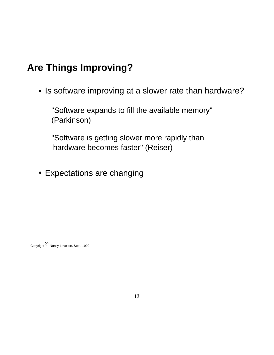## **Are Things Improving?**

• Is software improving at a slower rate than hardware?

"Software expands to fill the available memory" (Parkinson)

"Software is getting slower more rapidly than hardware becomes faster" (Reiser)

Expectations are changing

Copyright  $^{\circ}$  Nancy Leveson, Sept. 1999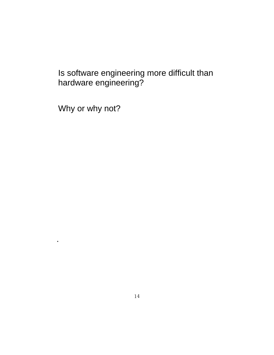#### Is software engineering more difficult than hardware engineering?

Why or why not?

.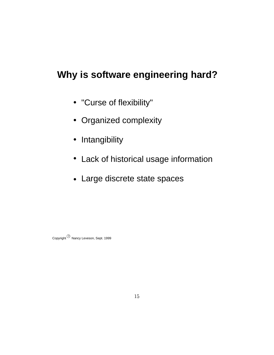## **Why is software engineering hard?**

- "Curse of flexibility"
- Organized complexity
- Intangibility
- Lack of historical usage information
- Large discrete state spaces

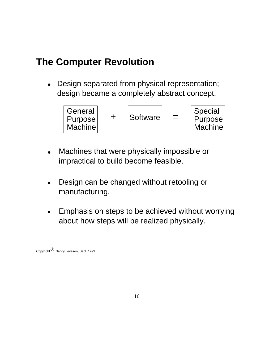#### **The Computer Revolution**

design became a completely abstract concept. Design separated from physical representation;



- impractical to build become feasible. Machines that were physically impossible or
- Design can be changed without retooling or manufacturing.
- Emphasis on steps to be achieved without worrying  $\bullet$ about how steps will be realized physically.

Copyright  $^{6}$  Nancy Leveson, Sept. 1999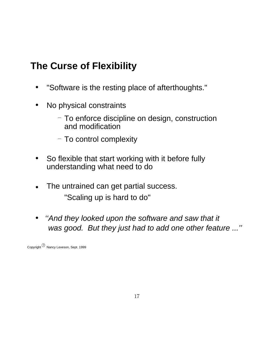## **The Curse of Flexibility**

- "Software is the resting place of afterthoughts."
- No physical constraints  $\bullet$ 
	- $-$  To enforce discipline on design, construction and modification
	- To control complexity
- So flexible that start working with it before fully understanding what need to do
- "Scaling up is hard to do" The untrained can get partial success.
- ''And they looked upon the software and saw that it  $\bullet$ was good. But they just had to add one other feature ...''

Copyright  $^\copyright$  Nancy Leveson, Sept. 1999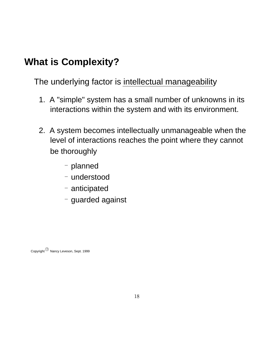## **What is Complexity?**

The underlying factor is intellectual manageability

- interactions within the system and with its environment. 1. A "simple" system has a small number of unknowns in its
- level of interactions reaches the point where they cannot be thoroughly 2. A system becomes intellectually unmanageable when the
	- planned
	- understood
	- anticipated
	- $-$  guarded against

Copyright  $^{(c)}$  Nancy Leveson, Sept. 1999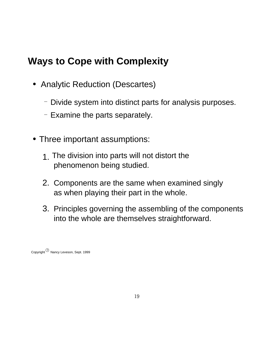## **Ways to Cope with Complexity**

- Analytic Reduction (Descartes)
	- Divide system into distinct parts for analysis purposes.
	- $-$  Examine the parts separately.
- Three important assumptions:
	- phenomenon being studied. 1. The division into parts will not distort the
	- 2. Components are the same when examined singly as when playing their part in the whole.
	- 3. Principles governing the assembling of the components into the whole are themselves straightforward.

Copyright  $^{\circled{\scriptscriptstyle C}}$  Nancy Leveson, Sept. 1999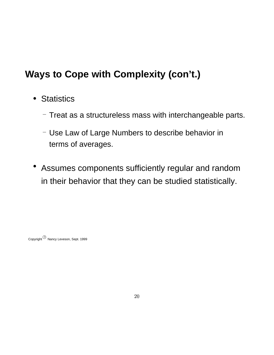## **Ways to Cope with Complexity (con't.)**

- Statistics
	- $-$  Treat as a structureless mass with interchangeable parts.
	- terms of averages. Use Law of Large Numbers to describe behavior in
- in their behavior that they can be studied statistically. Assumes components sufficiently regular and random

Copyright  $^\copyright$  Nancy Leveson, Sept. 1999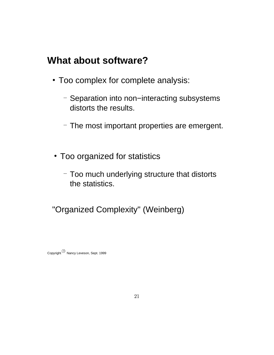#### **What about software?**

- Too complex for complete analysis:
	- distorts the results. Separation into non−interacting subsystems
	- $-$  The most important properties are emergent.
- Too organized for statistics
	- the statistics.  $-$  Too much underlying structure that distorts

"Organized Complexity" (Weinberg)

Copyright  $^{\copyright}$  Nancy Leveson, Sept. 1999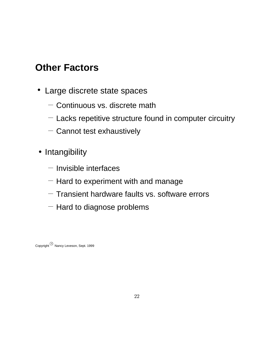## **Other Factors**

- Large discrete state spaces
	- $-$  Continuous vs. discrete math
	- $-$  Lacks repetitive structure found in computer circuitry
	- $-$  Cannot test exhaustively
- Intangibility
	- $-$  Invisible interfaces
	- $-$  Hard to experiment with and manage
	- $-$  Transient hardware faults vs. software errors
	- $-$  Hard to diagnose problems

Copyright  $^{\copyright}$  Nancy Leveson, Sept. 1999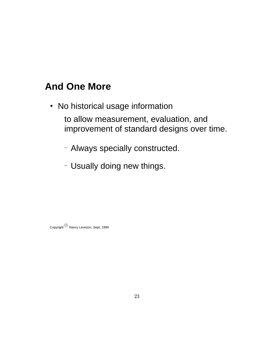## **And One More**

- No historical usage information to allow measurement, evaluation, and improvement of standard designs over time.
	- Always specially constructed.
	- Usually doing new things.

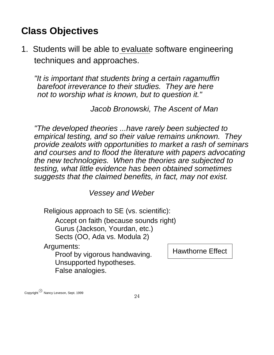## **Class Objectives**

1. Students will be able to evaluate software engineering techniques and approaches.

"It is important that students bring a certain ragamuffin barefoot irreverance to their studies. They are here not to worship what is known, but to question it."

Jacob Bronowski, The Ascent of Man

suggests that the claimed benefits, in fact, may not exist. testing, what little evidence has been obtained sometimes "The developed theories ...have rarely been subjected to empirical testing, and so their value remains unknown. They provide zealots with opportunities to market a rash of seminars and courses and to flood the literature with papers advocating the new technologies. When the theories are subjected to

Vessey and Weber

Religious approach to SE (vs. scientific):

Accept on faith (because sounds right)

Gurus (Jackson, Yourdan, etc.)

Sects (OO, Ada vs. Modula 2)

Arguments:

Proof by vigorous handwaving. Unsupported hypotheses. False analogies.

Hawthorne Effect

Copyright  $^{\circledm}$  Nancy Leveson, Sept. 1999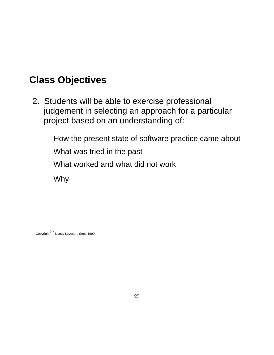## **Class Objectives**

project based on an understanding of: 2. Students will be able to exercise professional judgement in selecting an approach for a particular

> How the present state of software practice came about What was tried in the past What worked and what did not work Why

 $\operatorname{\mathsf{Copyright}}^{(\mathbb{C})}$  Nancy Leveson, Sept. 1999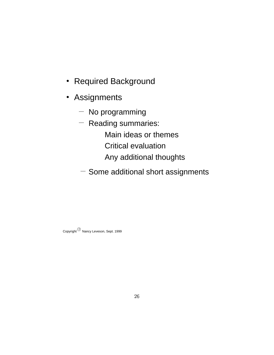- Required Background
- **Assignments** 
	- $-$  No programming
	- Any additional thoughts Critical evaluation Main ideas or themes  $-$  Reading summaries:
	- $-$  Some additional short assignments